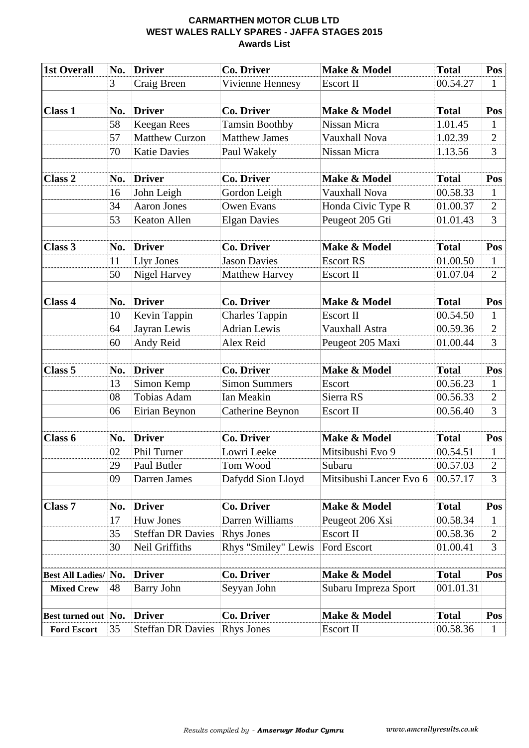#### **CARMARTHEN MOTOR CLUB LTD WEST WALES RALLY SPARES - JAFFA STAGES 2015 Awards List**

| <b>1st Overall</b>      | No. | <b>Driver</b>            | <b>Co. Driver</b>     | Make & Model            | <b>Total</b> | Pos            |
|-------------------------|-----|--------------------------|-----------------------|-------------------------|--------------|----------------|
|                         | 3   | Craig Breen              | Vivienne Hennesy      | <b>Escort II</b>        | 00.54.27     | $\mathbf{1}$   |
|                         |     |                          |                       |                         |              |                |
| <b>Class 1</b>          | No. | <b>Driver</b>            | <b>Co. Driver</b>     | Make & Model            | <b>Total</b> | Pos            |
|                         | 58  | <b>Keegan Rees</b>       | <b>Tamsin Boothby</b> | Nissan Micra            | 1.01.45      | $\mathbf{1}$   |
|                         | 57  | <b>Matthew Curzon</b>    | <b>Matthew James</b>  | Vauxhall Nova           | 1.02.39      | $\overline{2}$ |
|                         | 70  | <b>Katie Davies</b>      | Paul Wakely           | Nissan Micra            | 1.13.56      | $\overline{3}$ |
|                         |     |                          |                       |                         |              |                |
| <b>Class 2</b>          | No. | <b>Driver</b>            | <b>Co. Driver</b>     | Make & Model            | <b>Total</b> | Pos            |
|                         | 16  | John Leigh               | Gordon Leigh          | <b>Vauxhall Nova</b>    | 00.58.33     | $\mathbf{1}$   |
|                         | 34  | <b>Aaron Jones</b>       | <b>Owen Evans</b>     | Honda Civic Type R      | 01.00.37     | $\overline{2}$ |
|                         | 53  | Keaton Allen             | <b>Elgan Davies</b>   | Peugeot 205 Gti         | 01.01.43     | 3              |
|                         |     |                          |                       |                         |              |                |
| Class 3                 | No. | <b>Driver</b>            | <b>Co. Driver</b>     | Make & Model            | <b>Total</b> | Pos            |
|                         | 11  | <b>Llyr Jones</b>        | <b>Jason Davies</b>   | <b>Escort RS</b>        | 01.00.50     | $\mathbf{1}$   |
|                         | 50  | Nigel Harvey             | <b>Matthew Harvey</b> | <b>Escort II</b>        | 01.07.04     | $\overline{2}$ |
|                         |     |                          |                       |                         |              |                |
| <b>Class 4</b>          | No. | <b>Driver</b>            | <b>Co. Driver</b>     | Make & Model            | <b>Total</b> | Pos            |
|                         | 10  | Kevin Tappin             | <b>Charles Tappin</b> | <b>Escort II</b>        | 00.54.50     | $\mathbf{1}$   |
|                         | 64  | Jayran Lewis             | <b>Adrian Lewis</b>   | Vauxhall Astra          | 00.59.36     | $\overline{2}$ |
|                         | 60  | Andy Reid                | Alex Reid             | Peugeot 205 Maxi        | 01.00.44     | 3              |
|                         |     |                          |                       |                         |              |                |
| Class <sub>5</sub>      | No. | <b>Driver</b>            | <b>Co. Driver</b>     | Make & Model            | <b>Total</b> | Pos            |
|                         | 13  | Simon Kemp               | <b>Simon Summers</b>  | Escort                  | 00.56.23     | $\mathbf{1}$   |
|                         | 08  | <b>Tobias Adam</b>       | Ian Meakin            | Sierra RS               | 00.56.33     | $\overline{2}$ |
|                         | 06  | Eirian Beynon            | Catherine Beynon      | Escort II               | 00.56.40     | 3              |
|                         |     |                          |                       |                         |              |                |
| Class 6                 | No. | <b>Driver</b>            | <b>Co. Driver</b>     | Make & Model            | <b>Total</b> | Pos            |
|                         | 02  | Phil Turner              | Lowri Leeke           | Mitsibushi Evo 9        | 00.54.51     | $\mathbf{1}$   |
|                         | 29  | Paul Butler              | Tom Wood              | Subaru                  | 00.57.03     | $\overline{2}$ |
|                         | 09  | Darren James             | Dafydd Sion Lloyd     | Mitsibushi Lancer Evo 6 | 00.57.17     | 3              |
|                         |     |                          |                       |                         |              |                |
| <b>Class 7</b>          | No. | <b>Driver</b>            | <b>Co. Driver</b>     | Make & Model            | <b>Total</b> | Pos            |
|                         | 17  | <b>Huw Jones</b>         | Darren Williams       | Peugeot 206 Xsi         | 00.58.34     | 1              |
|                         | 35  | <b>Steffan DR Davies</b> | <b>Rhys Jones</b>     | <b>Escort II</b>        | 00.58.36     | $\overline{2}$ |
|                         | 30  | Neil Griffiths           | Rhys "Smiley" Lewis   | <b>Ford Escort</b>      | 01.00.41     | 3              |
|                         | No. | <b>Driver</b>            | <b>Co. Driver</b>     | Make & Model            | <b>Total</b> | Pos            |
| <b>Best All Ladies/</b> |     |                          |                       |                         |              |                |
| <b>Mixed Crew</b>       | 48  | <b>Barry John</b>        | Seyyan John           | Subaru Impreza Sport    | 001.01.31    |                |
|                         |     | <b>Driver</b>            | <b>Co. Driver</b>     | Make & Model            | <b>Total</b> | Pos            |
| Best turned out No.     |     |                          |                       |                         |              |                |
| <b>Ford Escort</b>      | 35  | <b>Steffan DR Davies</b> | <b>Rhys Jones</b>     | Escort II               | 00.58.36     | $\mathbf{1}$   |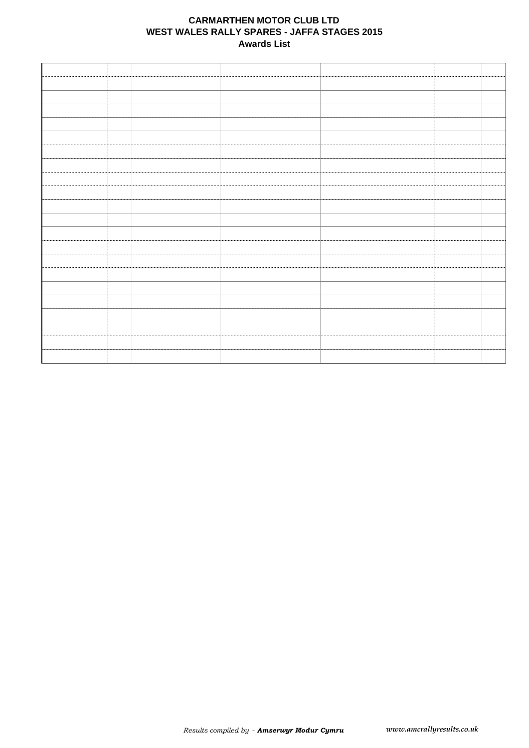#### **CARMARTHEN MOTOR CLUB LTD WEST WALES RALLY SPARES - JAFFA STAGES 2015 Awards List**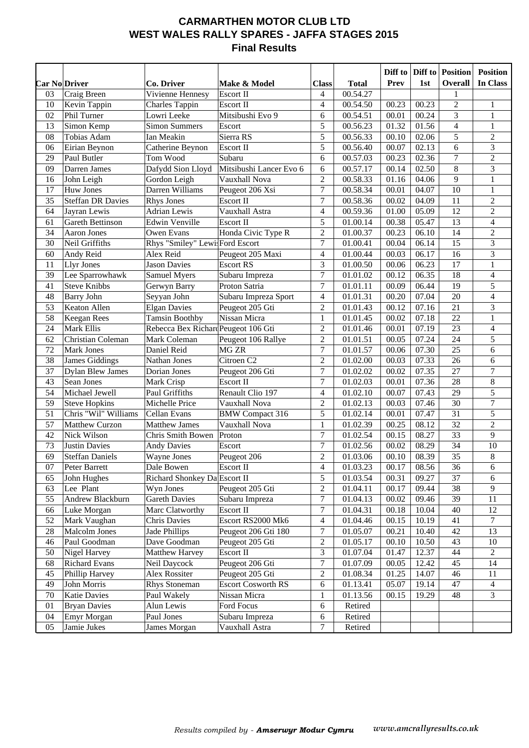## **CARMARTHEN MOTOR CLUB LTD WEST WALES RALLY SPARES - JAFFA STAGES 2015 Final Results**

|    |                          |                                     |                           |                         |              | Diff to | Diff to | <b>Position</b>  | <b>Position</b>          |
|----|--------------------------|-------------------------------------|---------------------------|-------------------------|--------------|---------|---------|------------------|--------------------------|
|    | <b>Car No Driver</b>     | Co. Driver                          | Make & Model              | <b>Class</b>            | <b>Total</b> | Prev    | 1st     | <b>Overall</b>   | In Class                 |
| 03 | Craig Breen              | Vivienne Hennesy                    | Escort II                 | 4                       | 00.54.27     |         |         | 1                |                          |
| 10 | Kevin Tappin             | <b>Charles Tappin</b>               | Escort II                 | 4                       | 00.54.50     | 00.23   | 00.23   | $\mathfrak{2}$   | 1                        |
| 02 | Phil Turner              | Lowri Leeke                         | Mitsibushi Evo 9          | 6                       | 00.54.51     | 00.01   | 00.24   | 3                | $\mathbf{1}$             |
| 13 | Simon Kemp               | <b>Simon Summers</b>                | Escort                    | 5                       | 00.56.23     | 01.32   | 01.56   | $\overline{4}$   | $\mathbf{1}$             |
| 08 | Tobias Adam              | Ian Meakin                          | Sierra RS                 | 5                       | 00.56.33     | 00.10   | 02.06   | 5                | $\sqrt{2}$               |
| 06 | Eirian Beynon            | Catherine Beynon                    | Escort II                 | 5                       | 00.56.40     | 00.07   | 02.13   | 6                | $\mathfrak{Z}$           |
| 29 | Paul Butler              | Tom Wood                            | Subaru                    | 6                       | 00.57.03     | 00.23   | 02.36   | $\boldsymbol{7}$ | $\overline{2}$           |
| 09 | Darren James             | Dafydd Sion Lloyd                   | Mitsibushi Lancer Evo 6   | 6                       | 00.57.17     | 00.14   | 02.50   | 8                | $\overline{3}$           |
| 16 | John Leigh               | Gordon Leigh                        | Vauxhall Nova             | $\mathbf{2}$            | 00.58.33     | 01.16   | 04.06   | 9                | $\mathbf{1}$             |
| 17 | Huw Jones                | Darren Williams                     | Peugeot 206 Xsi           | $\overline{7}$          | 00.58.34     | 00.01   | 04.07   | 10               | $\mathbf{1}$             |
| 35 | <b>Steffan DR Davies</b> | <b>Rhys Jones</b>                   | Escort II                 | $\overline{7}$          | 00.58.36     | 00.02   | 04.09   | 11               | $\sqrt{2}$               |
| 64 | Jayran Lewis             | <b>Adrian Lewis</b>                 | Vauxhall Astra            | $\overline{\mathbf{4}}$ | 00.59.36     | 01.00   | 05.09   | 12               | $\sqrt{2}$               |
| 61 | <b>Gareth Bettinson</b>  | Edwin Venville                      | Escort II                 | 5                       | 01.00.14     | 00.38   | 05.47   | 13               | $\overline{\mathcal{L}}$ |
| 34 | Aaron Jones              | Owen Evans                          | Honda Civic Type R        | $\overline{c}$          | 01.00.37     | 00.23   | 06.10   | 14               | $\sqrt{2}$               |
| 30 | Neil Griffiths           | Rhys "Smiley" Lewi: Ford Escort     |                           | $\tau$                  | 01.00.41     | 00.04   | 06.14   | 15               | $\overline{\mathbf{3}}$  |
| 60 | Andy Reid                | Alex Reid                           | Peugeot 205 Maxi          | 4                       | 01.00.44     | 00.03   | 06.17   | 16               | 3                        |
| 11 | <b>Llyr Jones</b>        | <b>Jason Davies</b>                 | <b>Escort RS</b>          | 3                       | 01.00.50     | 00.06   | 06.23   | 17               | $\mathbf 1$              |
| 39 | Lee Sparrowhawk          | <b>Samuel Myers</b>                 | Subaru Impreza            | $\boldsymbol{7}$        | 01.01.02     | 00.12   | 06.35   | 18               | $\overline{\mathbf{4}}$  |
| 41 | <b>Steve Knibbs</b>      | Gerwyn Barry                        | Proton Satria             | $\overline{7}$          | 01.01.11     | 00.09   | 06.44   | 19               | 5                        |
| 48 | <b>Barry John</b>        | Seyyan John                         | Subaru Impreza Sport      | $\overline{\mathbf{4}}$ | 01.01.31     | 00.20   | 07.04   | 20               | $\overline{\mathbf{4}}$  |
| 53 | Keaton Allen             | <b>Elgan Davies</b>                 | Peugeot 205 Gti           | $\sqrt{2}$              | 01.01.43     | 00.12   | 07.16   | 21               | $\overline{\mathbf{3}}$  |
| 58 | Keegan Rees              | <b>Tamsin Boothby</b>               | Nissan Micra              | 1                       | 01.01.45     | 00.02   | 07.18   | 22               | $\mathbf 1$              |
| 24 | Mark Ellis               | Rebecca Bex Richard Peugeot 106 Gti |                           | $\mathbf{2}$            | 01.01.46     | 00.01   | 07.19   | 23               | 4                        |
| 62 | Christian Coleman        | Mark Coleman                        | Peugeot 106 Rallye        | $\mathbf{2}$            | 01.01.51     | 00.05   | 07.24   | 24               | 5                        |
| 72 | Mark Jones               | Daniel Reid                         | MG ZR                     | 7                       | 01.01.57     | 00.06   | 07.30   | 25               | 6                        |
| 38 | James Giddings           | Nathan Jones                        | Citroen <sub>C2</sub>     | $\mathbf{2}$            | 01.02.00     | 00.03   | 07.33   | 26               | 6                        |
| 37 | <b>Dylan Blew James</b>  | Dorian Jones                        | Peugeot 206 Gti           | $\boldsymbol{7}$        | 01.02.02     | 00.02   | 07.35   | 27               | $\boldsymbol{7}$         |
| 43 | Sean Jones               | Mark Crisp                          | Escort II                 | $\boldsymbol{7}$        | 01.02.03     | 00.01   | 07.36   | 28               | $\,8\,$                  |
| 54 | Michael Jewell           | Paul Griffiths                      | Renault Clio 197          | $\overline{4}$          | 01.02.10     | 00.07   | 07.43   | 29               | 5                        |
| 59 | <b>Steve Hopkins</b>     | Michelle Price                      | Vauxhall Nova             | $\overline{2}$          | 01.02.13     | 00.03   | 07.46   | 30               | $\boldsymbol{7}$         |
| 51 | Chris "Wil" Williams     | Cellan Evans                        | <b>BMW</b> Compact 316    | 5                       | 01.02.14     | 00.01   | 07.47   | 31               | 5                        |
| 57 | Matthew Curzon           | <b>Matthew James</b>                | Vauxhall Nova             | 1                       | 01.02.39     | 00.25   | 08.12   | 32               | $\overline{c}$           |
| 42 | Nick Wilson              | Chris Smith Bowen                   | Proton                    | $\boldsymbol{7}$        | 01.02.54     | 00.15   | 08.27   | 33               | 9                        |
| 73 | <b>Justin Davies</b>     | <b>Andy Davies</b>                  | Escort                    | $\boldsymbol{7}$        | 01.02.56     | 00.02   | 08.29   | 34               | 10                       |
| 69 | <b>Steffan Daniels</b>   | Wayne Jones                         | Peugeot 206               | $\mathbf{2}$            | 01.03.06     | 00.10   | 08.39   | 35               | $\,8\,$                  |
| 07 | Peter Barrett            | Dale Bowen                          | Escort II                 | 4                       | 01.03.23     | 00.17   | 08.56   | 36               | 6                        |
| 65 | John Hughes              | Richard Shonkey Da Escort II        |                           | 5                       | 01.03.54     | 00.31   | 09.27   | 37               | 6                        |
| 63 | Lee Plant                | Wyn Jones                           | Peugeot 205 Gti           | $\sqrt{2}$              | 01.04.11     | 00.17   | 09.44   | 38               | 9                        |
| 55 | Andrew Blackburn         | <b>Gareth Davies</b>                | Subaru Impreza            | 7                       | 01.04.13     | 00.02   | 09.46   | 39               | 11                       |
| 66 | Luke Morgan              | Marc Clatworthy                     | Escort II                 | 7                       | 01.04.31     | 00.18   | 10.04   | 40               | 12                       |
| 52 | Mark Vaughan             | <b>Chris Davies</b>                 | Escort RS2000 Mk6         | 4                       | 01.04.46     | 00.15   | 10.19   | 41               | 7                        |
| 28 | Malcolm Jones            | Jade Phillips                       | Peugeot 206 Gti 180       | 7                       | 01.05.07     | 00.21   | 10.40   | 42               | 13                       |
| 46 | Paul Goodman             | Dave Goodman                        | Peugeot 205 Gti           | $\overline{c}$          | 01.05.17     | 00.10   | 10.50   | 43               | 10                       |
| 50 | Nigel Harvey             | Matthew Harvey                      | Escort II                 | 3                       | 01.07.04     | 01.47   | 12.37   | 44               | $\overline{c}$           |
| 68 | <b>Richard Evans</b>     | Neil Daycock                        | Peugeot 206 Gti           | 7                       | 01.07.09     | 00.05   | 12.42   | 45               | 14                       |
| 45 | Phillip Harvey           | Alex Rossiter                       | Peugeot 205 Gti           | $\overline{c}$          | 01.08.34     | 01.25   | 14.07   | 46               | 11                       |
| 49 | John Morris              | <b>Rhys Stoneman</b>                | <b>Escort Cosworth RS</b> | 6                       | 01.13.41     | 05.07   | 19.14   | 47               | 4                        |
| 70 | Katie Davies             | Paul Wakely                         | Nissan Micra              | 1                       | 01.13.56     | 00.15   | 19.29   | 48               | 3                        |
| 01 | <b>Bryan Davies</b>      | Alun Lewis                          | Ford Focus                | 6                       | Retired      |         |         |                  |                          |
| 04 | Emyr Morgan              | Paul Jones                          | Subaru Impreza            | 6                       | Retired      |         |         |                  |                          |
| 05 | Jamie Jukes              | James Morgan                        | Vauxhall Astra            | 7                       | Retired      |         |         |                  |                          |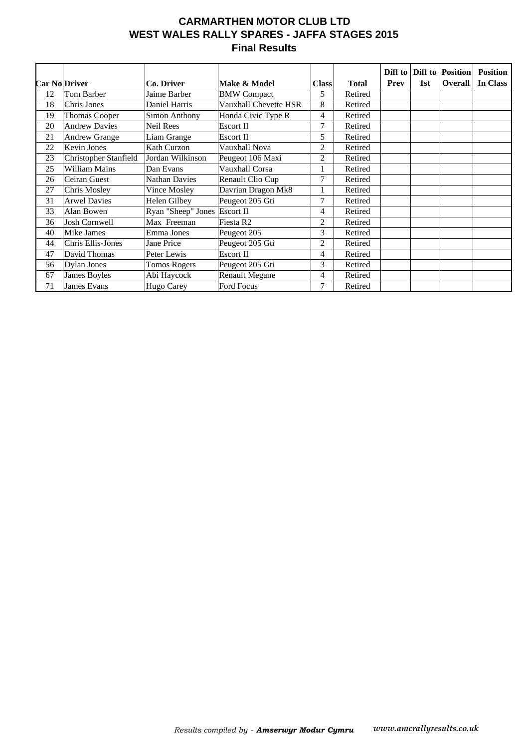## **CARMARTHEN MOTOR CLUB LTD WEST WALES RALLY SPARES - JAFFA STAGES 2015 Final Results**

|    |                       |                      |                       |                |              | Diff to     |     | <b>Diff to Position</b> | <b>Position</b> |
|----|-----------------------|----------------------|-----------------------|----------------|--------------|-------------|-----|-------------------------|-----------------|
|    | <b>Car No Driver</b>  | Co. Driver           | Make & Model          | <b>Class</b>   | <b>Total</b> | <b>Prev</b> | 1st | <b>Overall</b>          | In Class        |
| 12 | Tom Barber            | Jaime Barber         | <b>BMW</b> Compact    | 5              | Retired      |             |     |                         |                 |
| 18 | Chris Jones           | Daniel Harris        | Vauxhall Chevette HSR | 8              | Retired      |             |     |                         |                 |
| 19 | Thomas Cooper         | Simon Anthony        | Honda Civic Type R    | 4              | Retired      |             |     |                         |                 |
| 20 | <b>Andrew Davies</b>  | Neil Rees            | Escort II             | 7              | Retired      |             |     |                         |                 |
| 21 | <b>Andrew Grange</b>  | Liam Grange          | Escort II             | 5              | Retired      |             |     |                         |                 |
| 22 | <b>Kevin Jones</b>    | Kath Curzon          | Vauxhall Nova         | 2              | Retired      |             |     |                         |                 |
| 23 | Christopher Stanfield | Jordan Wilkinson     | Peugeot 106 Maxi      | 2              | Retired      |             |     |                         |                 |
| 25 | William Mains         | Dan Evans            | Vauxhall Corsa        |                | Retired      |             |     |                         |                 |
| 26 | Ceiran Guest          | <b>Nathan Davies</b> | Renault Clio Cup      | 7              | Retired      |             |     |                         |                 |
| 27 | Chris Mosley          | Vince Mosley         | Davrian Dragon Mk8    |                | Retired      |             |     |                         |                 |
| 31 | <b>Arwel Davies</b>   | Helen Gilbey         | Peugeot 205 Gti       | 7              | Retired      |             |     |                         |                 |
| 33 | Alan Bowen            | Ryan "Sheep" Jones   | Escort II             | 4              | Retired      |             |     |                         |                 |
| 36 | <b>Josh Cornwell</b>  | Max Freeman          | Fiesta R <sub>2</sub> | $\overline{c}$ | Retired      |             |     |                         |                 |
| 40 | Mike James            | Emma Jones           | Peugeot 205           | 3              | Retired      |             |     |                         |                 |
| 44 | Chris Ellis-Jones     | Jane Price           | Peugeot 205 Gti       | 2              | Retired      |             |     |                         |                 |
| 47 | David Thomas          | Peter Lewis          | <b>Escort II</b>      | 4              | Retired      |             |     |                         |                 |
| 56 | Dylan Jones           | <b>Tomos Rogers</b>  | Peugeot 205 Gti       | 3              | Retired      |             |     |                         |                 |
| 67 | James Boyles          | Abi Haycock          | <b>Renault Megane</b> | 4              | Retired      |             |     |                         |                 |
| 71 | James Evans           | Hugo Carey           | Ford Focus            | 7              | Retired      |             |     |                         |                 |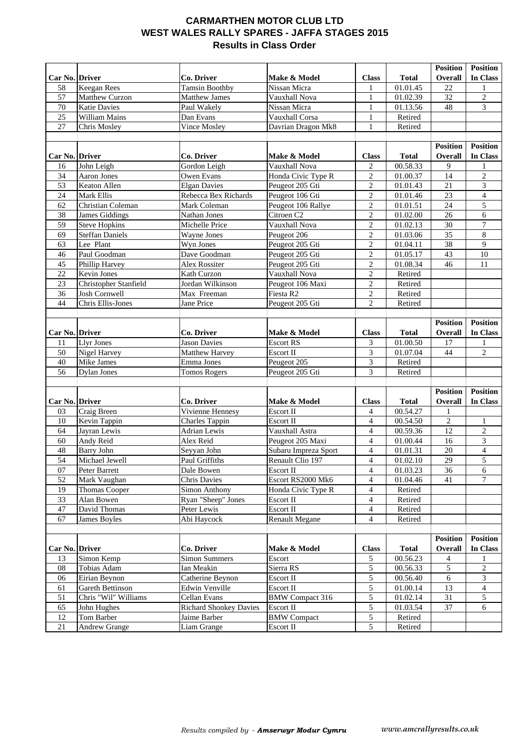### **CARMARTHEN MOTOR CLUB LTD WEST WALES RALLY SPARES - JAFFA STAGES 2015 Results in Class Order**

|                      |                              |                                              |                             |                                |                          | <b>Position</b> | <b>Position</b>     |
|----------------------|------------------------------|----------------------------------------------|-----------------------------|--------------------------------|--------------------------|-----------------|---------------------|
| Car No. Driver       |                              | Co. Driver                                   | Make & Model                | <b>Class</b>                   | <b>Total</b>             | Overall         | In Class            |
| 58                   | <b>Keegan Rees</b>           | <b>Tamsin Boothby</b>                        | Nissan Micra                | 1                              | 01.01.45                 | 22              | 1                   |
| 57                   | Matthew Curzon               | Matthew James                                | Vauxhall Nova               | $\mathbf{1}$                   | 01.02.39                 | 32              | $\overline{2}$      |
| 70                   | <b>Katie Davies</b>          | Paul Wakely                                  | Nissan Micra                | 1                              | 01.13.56                 | 48              | $\overline{3}$      |
| 25                   | William Mains                | Dan Evans                                    | Vauxhall Corsa              | 1                              | Retired                  |                 |                     |
| 27                   | Chris Mosley                 | <b>Vince Mosley</b>                          | Davrian Dragon Mk8          | $\mathbf{1}$                   | Retired                  |                 |                     |
|                      |                              |                                              |                             |                                |                          |                 |                     |
|                      |                              |                                              |                             |                                |                          | <b>Position</b> | <b>Position</b>     |
| Car No. Driver       |                              | Co. Driver                                   | Make & Model                | <b>Class</b>                   | <b>Total</b>             | Overall         | In Class            |
| 16                   | John Leigh                   | Gordon Leigh                                 | Vauxhall Nova               | $\overline{c}$                 | 00.58.33                 | 9               |                     |
| 34                   | <b>Aaron Jones</b>           | Owen Evans                                   | Honda Civic Type R          | $\overline{2}$                 | 01.00.37                 | 14              | $\overline{2}$      |
| 53                   | Keaton Allen                 | <b>Elgan Davies</b>                          | Peugeot 205 Gti             | $\mathbf{2}$                   | 01.01.43                 | 21              | 3                   |
| 24                   | Mark Ellis                   | Rebecca Bex Richards                         | Peugeot 106 Gti             | $\mathbf{2}$                   | 01.01.46                 | 23              | $\overline{4}$      |
| 62                   | Christian Coleman            | Mark Coleman                                 | Peugeot 106 Rallye          | 2                              | 01.01.51                 | 24              | 5                   |
| 38                   | <b>James Giddings</b>        | Nathan Jones                                 | Citroen <sub>C2</sub>       | $\sqrt{2}$                     | 01.02.00                 | 26              | 6                   |
| 59                   | <b>Steve Hopkins</b>         | Michelle Price                               | Vauxhall Nova               | $\overline{2}$                 | 01.02.13                 | 30              | $\boldsymbol{7}$    |
| 69                   | <b>Steffan Daniels</b>       | Wayne Jones                                  | Peugeot 206                 | $\overline{c}$                 | 01.03.06                 | 35              | $\overline{8}$      |
| 63                   | Lee Plant                    | Wyn Jones                                    | Peugeot 205 Gti             | $\mathbf{2}$                   | 01.04.11                 | 38              | $\boldsymbol{9}$    |
| 46                   | Paul Goodman                 | Dave Goodman                                 | Peugeot 205 Gti             | $\overline{c}$                 | 01.05.17                 | 43              | $10\,$              |
| 45                   | Phillip Harvey               | Alex Rossiter                                | Peugeot 205 Gti             | $\overline{c}$                 | 01.08.34                 | 46              | 11                  |
| 22                   | Kevin Jones                  | Kath Curzon                                  | Vauxhall Nova               | $\sqrt{2}$                     | Retired                  |                 |                     |
| 23                   | Christopher Stanfield        | Jordan Wilkinson                             | Peugeot 106 Maxi            | $\overline{c}$                 | Retired                  |                 |                     |
| 36                   | <b>Josh Cornwell</b>         | Max Freeman                                  | Fiesta R <sub>2</sub>       | $\overline{c}$                 | Retired                  |                 |                     |
| 44                   | Chris Ellis-Jones            | Jane Price                                   | Peugeot 205 Gti             | $\overline{2}$                 | Retired                  |                 |                     |
|                      |                              |                                              |                             |                                |                          |                 |                     |
|                      |                              |                                              |                             |                                |                          | <b>Position</b> | <b>Position</b>     |
| Car No. Driver       |                              | Co. Driver                                   | Make & Model                | <b>Class</b>                   | <b>Total</b>             | Overall         | In Class            |
| 11                   | Llyr Jones                   | <b>Jason Davies</b>                          | <b>Escort RS</b>            | 3                              | 01.00.50                 | 17              |                     |
| 50                   | Nigel Harvey                 | <b>Matthew Harvey</b>                        | Escort II                   | 3                              | 01.07.04                 | 44              | $\mathbf{2}$        |
| 40                   | Mike James                   | Emma Jones                                   | Peugeot 205                 | 3                              | Retired                  |                 |                     |
| 56                   | <b>Dylan Jones</b>           | <b>Tomos Rogers</b>                          | Peugeot 205 Gti             | 3                              | Retired                  |                 |                     |
|                      |                              |                                              |                             |                                |                          |                 |                     |
|                      |                              |                                              |                             |                                |                          | <b>Position</b> | <b>Position</b>     |
| Car No. Driver<br>03 | Craig Breen                  | Co. Driver<br>Vivienne Hennesy               | Make & Model<br>Escort II   | <b>Class</b><br>$\overline{4}$ | <b>Total</b><br>00.54.27 | Overall<br>1    | In Class            |
|                      |                              |                                              |                             | $\overline{4}$                 | 00.54.50                 | $\overline{c}$  |                     |
| 10<br>64             | Kevin Tappin<br>Jayran Lewis | <b>Charles Tappin</b><br><b>Adrian Lewis</b> | Escort II<br>Vauxhall Astra | $\overline{4}$                 | 00.59.36                 | 12              | 1<br>$\overline{2}$ |
| 60                   | Andy Reid                    | Alex Reid                                    | Peugeot 205 Maxi            | $\overline{4}$                 | 01.00.44                 | 16              | 3                   |
| 48                   | <b>Barry John</b>            | Seyyan John                                  | Subaru Impreza Sport        | $\overline{4}$                 | 01.01.31                 | $20\,$          | $\overline{4}$      |
| 54                   | Michael Jewell               | Paul Griffiths                               | Renault Clio 197            | 4                              | 01.02.10                 | 29              | 5                   |
| 07                   | Peter Barrett                | Dale Bowen                                   | Escort II                   | $\overline{4}$                 | 01.03.23                 | 36              | 6                   |
| 52                   | Mark Vaughan                 | <b>Chris Davies</b>                          | Escort RS2000 Mk6           | $\overline{4}$                 | 01.04.46                 | 41              | 7                   |
| 19                   | <b>Thomas Cooper</b>         | Simon Anthony                                | Honda Civic Type R          | $\overline{4}$                 | Retired                  |                 |                     |
| 33                   | Alan Bowen                   | Ryan "Sheep" Jones                           | Escort II                   | 4                              | Retired                  |                 |                     |
| 47                   | David Thomas                 | Peter Lewis                                  | Escort II                   | $\overline{4}$                 | Retired                  |                 |                     |
| 67                   | James Boyles                 | Abi Haycock                                  | <b>Renault Megane</b>       | $\overline{4}$                 | Retired                  |                 |                     |
|                      |                              |                                              |                             |                                |                          |                 |                     |
|                      |                              |                                              |                             |                                |                          | <b>Position</b> | <b>Position</b>     |
| Car No. Driver       |                              | Co. Driver                                   | Make & Model                | <b>Class</b>                   | <b>Total</b>             | Overall         | In Class            |
| 13                   | Simon Kemp                   | <b>Simon Summers</b>                         | Escort                      | $\sqrt{5}$                     | 00.56.23                 | 4               |                     |
| 08                   | Tobias Adam                  | Ian Meakin                                   | Sierra RS                   | 5                              | 00.56.33                 | 5               | $\overline{2}$      |
| 06                   | Eirian Beynon                | Catherine Beynon                             | Escort II                   | 5                              | 00.56.40                 | 6               | 3                   |
| 61                   | Gareth Bettinson             | Edwin Venville                               | Escort II                   | 5                              | 01.00.14                 | 13              | 4                   |
|                      | Chris "Wil" Williams         | Cellan Evans                                 | <b>BMW Compact 316</b>      | 5                              | 01.02.14                 | 31              | 5                   |
| 51                   |                              |                                              |                             |                                |                          |                 |                     |
| 65                   | John Hughes                  | <b>Richard Shonkey Davies</b>                | Escort II                   | 5                              | 01.03.54                 | 37              | 6                   |
| 12<br>$21\,$         | Tom Barber                   | Jaime Barber                                 | <b>BMW</b> Compact          | 5<br>5                         | Retired<br>Retired       |                 |                     |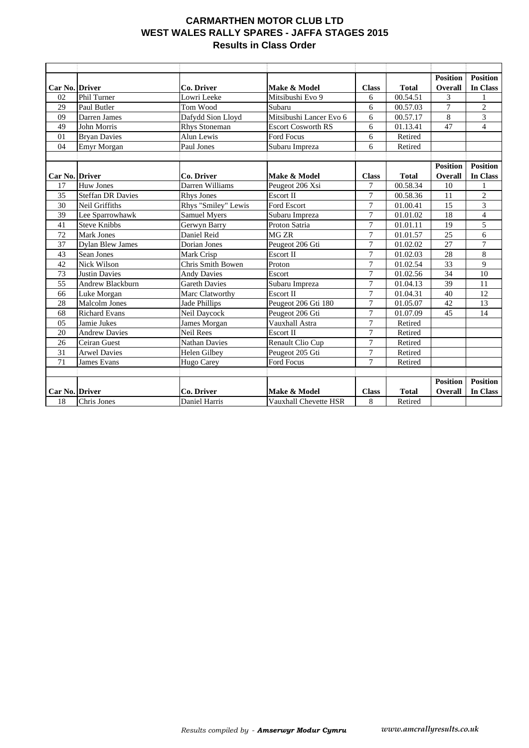### **CARMARTHEN MOTOR CLUB LTD WEST WALES RALLY SPARES - JAFFA STAGES 2015 Results in Class Order**

|                 |                          |                      |                           |                |                       | <b>Position</b> | <b>Position</b> |
|-----------------|--------------------------|----------------------|---------------------------|----------------|-----------------------|-----------------|-----------------|
| Car No. Driver  |                          | Co. Driver           | Make & Model              | <b>Class</b>   | <b>Total</b>          | Overall         | In Class        |
| 02              | <b>Phil Turner</b>       | Lowri Leeke          | Mitsibushi Evo 9          | 6              | 00.54.51              | 3               |                 |
| 29              | Paul Butler              | Tom Wood             | Subaru                    | 6              | 00.57.03              | $\tau$          | $\mathbf{2}$    |
| 09              | Darren James             | Dafydd Sion Lloyd    | Mitsibushi Lancer Evo 6   | 6              | 00.57.17              | 8               | 3               |
| 49              | John Morris              | <b>Rhys Stoneman</b> | <b>Escort Cosworth RS</b> | 6              | 01.13.41              | 47              | $\overline{4}$  |
| 01              | <b>Bryan Davies</b>      | Alun Lewis           | <b>Ford Focus</b>         | 6              | Retired               |                 |                 |
| 04              | Emyr Morgan              | Paul Jones           | Subaru Impreza            | 6              | Retired               |                 |                 |
|                 |                          |                      |                           |                |                       |                 |                 |
|                 |                          |                      |                           |                |                       | <b>Position</b> | <b>Position</b> |
| Car No. Driver  |                          | Co. Driver           | Make & Model              | <b>Class</b>   | <b>Total</b>          | Overall         | <b>In Class</b> |
| 17              | Huw Jones                | Darren Williams      | Peugeot 206 Xsi           | $\tau$         | 00.58.34              | 10              |                 |
| 35              | <b>Steffan DR Davies</b> | <b>Rhys Jones</b>    | <b>Escort II</b>          | $\overline{7}$ | 00.58.36              | 11              | $\overline{2}$  |
| 30              | Neil Griffiths           | Rhys "Smiley" Lewis  | <b>Ford Escort</b>        | $\overline{7}$ | 01.00.41              | 15              | 3               |
| 39              | Lee Sparrowhawk          | Samuel Myers         | Subaru Impreza            | $\overline{7}$ | $\overline{01.01.02}$ | 18              | $\overline{4}$  |
| 41              | <b>Steve Knibbs</b>      | Gerwyn Barry         | Proton Satria             | $\overline{7}$ | 01.01.11              | 19              | 5               |
| 72              | <b>Mark Jones</b>        | Daniel Reid          | MG <sub>ZR</sub>          | $\tau$         | 01.01.57              | 25              | 6               |
| 37              | <b>Dylan Blew James</b>  | <b>Dorian Jones</b>  | Peugeot 206 Gti           | $\overline{7}$ | 01.02.02              | 27              | $\overline{7}$  |
| 43              | <b>Sean Jones</b>        | Mark Crisp           | <b>Escort II</b>          | $\overline{7}$ | 01.02.03              | 28              | 8               |
| 42              | Nick Wilson              | Chris Smith Bowen    | Proton                    | $\overline{7}$ | 01.02.54              | $\overline{33}$ | $\overline{9}$  |
| 73              | <b>Justin Davies</b>     | <b>Andy Davies</b>   | Escort                    | $\overline{7}$ | 01.02.56              | 34              | $\overline{10}$ |
| $\overline{55}$ | Andrew Blackburn         | <b>Gareth Davies</b> | Subaru Impreza            | $\overline{7}$ | 01.04.13              | 39              | 11              |
| 66              | Luke Morgan              | Marc Clatworthy      | <b>Escort II</b>          | $\overline{7}$ | 01.04.31              | 40              | 12              |
| 28              | <b>Malcolm Jones</b>     | <b>Jade Phillips</b> | Peugeot 206 Gti 180       | $\tau$         | 01.05.07              | 42              | 13              |
| 68              | <b>Richard Evans</b>     | Neil Daycock         | Peugeot 206 Gti           | $\overline{7}$ | 01.07.09              | 45              | 14              |
| 05              | Jamie Jukes              | James Morgan         | Vauxhall Astra            | $\overline{7}$ | Retired               |                 |                 |
| 20              | <b>Andrew Davies</b>     | <b>Neil Rees</b>     | Escort II                 | $\tau$         | Retired               |                 |                 |
| 26              | Ceiran Guest             | Nathan Davies        | Renault Clio Cup          | $\tau$         | Retired               |                 |                 |
| 31              | <b>Arwel Davies</b>      | Helen Gilbey         | Peugeot 205 Gti           | $\overline{7}$ | Retired               |                 |                 |
| $\overline{71}$ | <b>James Evans</b>       | Hugo Carey           | <b>Ford Focus</b>         | $\overline{7}$ | Retired               |                 |                 |
|                 |                          |                      |                           |                |                       |                 |                 |
|                 |                          |                      |                           |                |                       | <b>Position</b> | <b>Position</b> |
| Car No. Driver  |                          | Co. Driver           | Make & Model              | <b>Class</b>   | <b>Total</b>          | Overall         | <b>In Class</b> |
| 18              | Chris Jones              | Daniel Harris        | Vauxhall Chevette HSR     | 8              | Retired               |                 |                 |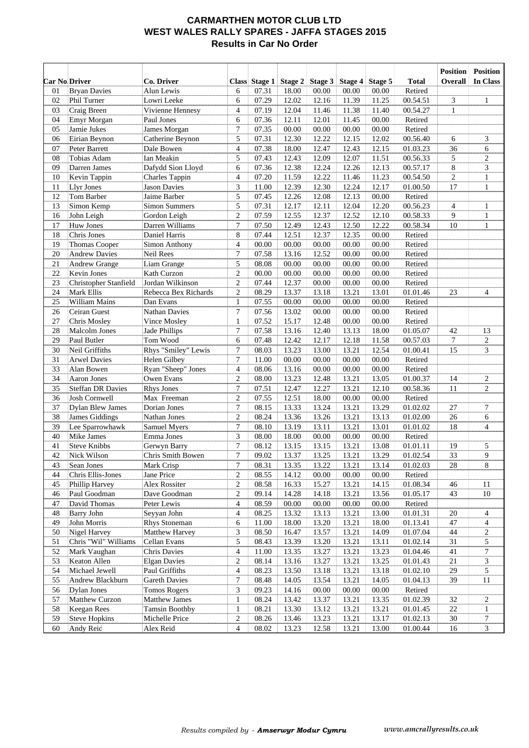#### **CARMARTHEN MOTOR CLUB LTD WEST WALES RALLY SPARES - JAFFA STAGES 2015 Results in Car No Order**

|          |                               |                                              |                                  |                |                |                |                |                |                      | <b>Position</b> | <b>Position</b>   |
|----------|-------------------------------|----------------------------------------------|----------------------------------|----------------|----------------|----------------|----------------|----------------|----------------------|-----------------|-------------------|
|          | <b>Car No Driver</b>          | Co. Driver                                   |                                  | Class Stage 1  | Stage 2        | Stage 3        | Stage 4        | Stage 5        | <b>Total</b>         | Overall         | In Class          |
| 01       | <b>Bryan Davies</b>           | Alun Lewis                                   | 6                                | 07.31          | 18.00          | 00.00          | 00.00          | 00.00          | Retired              |                 |                   |
| 02       | Phil Turner                   | Lowri Leeke                                  | 6                                | 07.29          | 12.02          | 12.16          | 11.39          | 11.25          | 00.54.51             | 3               | $\mathbf{1}$      |
| 03       | Craig Breen                   | Vivienne Hennesy                             | $\overline{4}$                   | 07.19          | 12.04          | 11.46          | 11.38          | 11.40          | 00.54.27             | $\mathbf{1}$    |                   |
| 04       | Emyr Morgan                   | Paul Jones                                   | 6                                | 07.36          | 12.11          | 12.01          | 11.45          | 00.00          | Retired              |                 |                   |
| 05       | Jamie Jukes                   | James Morgan                                 | $\boldsymbol{7}$                 | 07.35          | 00.00          | 00.00          | 00.00          | 00.00          | Retired              |                 |                   |
| 06       | Eirian Beynon                 | Catherine Beynon                             | 5                                | 07.31          | 12.30          | 12.22          | 12.15          | 12.02          | 00.56.40             | 6               | 3                 |
| 07       | Peter Barrett                 | Dale Bowen                                   | $\overline{4}$                   | 07.38          | 18.00          | 12.47          | 12.43          | 12.15          | 01.03.23             | 36              | 6                 |
| 08       | Tobias Adam                   | Ian Meakin                                   | 5                                | 07.43          | 12.43          | 12.09          | 12.07          | 11.51          | 00.56.33             | 5               | $\boldsymbol{2}$  |
| 09       | Darren James                  | Dafydd Sion Lloyd                            | 6                                | 07.36          | 12.38          | 12.24          | 12.26          | 12.13          | 00.57.17             | 8               | 3                 |
| 10       | Kevin Tappin                  | <b>Charles Tappin</b><br><b>Jason Davies</b> | $\overline{4}$                   | 07.20          | 11.59          | 12.22          | 11.46          | 11.23          | 00.54.50             | $\overline{c}$  | $\mathbf{1}$      |
| 11       | <b>Llyr Jones</b>             |                                              | 3                                | 11.00          | 12.39          | 12.30          | 12.24          | 12.17          | 01.00.50             | 17              | $\mathbf{1}$      |
| 12       | Tom Barber                    | Jaime Barber                                 | 5                                | 07.45          | 12.26          | 12.08          | 12.13          | 00.00          | Retired              |                 |                   |
| 13       | Simon Kemp                    | <b>Simon Summers</b>                         | 5                                | 07.31          | 12.17          | 12.11          | 12.04          | 12.20          | 00.56.23             | 4               | 1                 |
| 16<br>17 | John Leigh<br>Huw Jones       | Gordon Leigh<br>Darren Williams              | $\mathfrak{2}$<br>$\overline{7}$ | 07.59<br>07.50 | 12.55<br>12.49 | 12.37<br>12.43 | 12.52<br>12.50 | 12.10<br>12.22 | 00.58.33<br>00.58.34 | 9<br>10         | 1<br>1            |
| 18       | Chris Jones                   | Daniel Harris                                | 8                                | 07.44          | 12.51          | 12.37          | 12.35          | 00.00          | Retired              |                 |                   |
| 19       | <b>Thomas Cooper</b>          | Simon Anthony                                | $\overline{\mathcal{L}}$         | 00.00          | 00.00          | 00.00          | 00.00          | 00.00          | Retired              |                 |                   |
| 20       | <b>Andrew Davies</b>          | Neil Rees                                    | $\boldsymbol{7}$                 | 07.58          | 13.16          | 12.52          | 00.00          | 00.00          | Retired              |                 |                   |
| 21       | Andrew Grange                 | Liam Grange                                  | 5                                | 08.08          | 00.00          | 00.00          | 00.00          | 00.00          | Retired              |                 |                   |
| 22       | Kevin Jones                   | Kath Curzon                                  | $\overline{c}$                   | 00.00          | 00.00          | 00.00          | 00.00          | 00.00          | Retired              |                 |                   |
| 23       | Christopher Stanfield         | Jordan Wilkinson                             | $\mathfrak{2}$                   | 07.44          | 12.37          | 00.00          | 00.00          | 00.00          | Retired              |                 |                   |
| 24       | Mark Ellis                    | Rebecca Bex Richards                         | $\overline{c}$                   | 08.29          | 13.37          | 13.18          | 13.21          | 13.01          | 01.01.46             | 23              | $\overline{4}$    |
| 25       | William Mains                 | Dan Evans                                    | $\mathbf{1}$                     | 07.55          | 00.00          | 00.00          | 00.00          | 00.00          | Retired              |                 |                   |
| 26       | Ceiran Guest                  | Nathan Davies                                | $\overline{7}$                   | 07.56          | 13.02          | 00.00          | 00.00          | 00.00          | Retired              |                 |                   |
| 27       | Chris Mosley                  | Vince Mosley                                 | $\mathbf{1}$                     | 07.52          | 15.17          | 12.48          | 00.00          | 00.00          | Retired              |                 |                   |
| 28       | Malcolm Jones                 | Jade Phillips                                | $\boldsymbol{7}$                 | 07.58          | 13.16          | 12.40          | 13.13          | 18.00          | 01.05.07             | 42              | 13                |
| 29       | Paul Butler                   | Tom Wood                                     | 6                                | 07.48          | 12.42          | 12.17          | 12.18          | 11.58          | 00.57.03             | $\tau$          | $\overline{c}$    |
| 30       | Neil Griffiths                | Rhys "Smiley" Lewis                          | $\boldsymbol{7}$                 | 08.03          | 13.23          | 13.00          | 13.21          | 12.54          | 01.00.41             | 15              | 3                 |
| 31       | <b>Arwel Davies</b>           | Helen Gilbey                                 | $\overline{7}$                   | 11.00          | 00.00          | 00.00          | 00.00          | 00.00          | Retired              |                 |                   |
| 33       | Alan Bowen                    | Ryan "Sheep" Jones                           | $\overline{\mathcal{L}}$         | 08.06          | 13.16          | 00.00          | 00.00          | 00.00          | Retired              |                 |                   |
| 34       | Aaron Jones                   | Owen Evans                                   | $\mathfrak{2}$                   | 08.00          | 13.23          | 12.48          | 13.21          | 13.05          | 01.00.37             | 14              | $\overline{c}$    |
| 35       | <b>Steffan DR Davies</b>      | Rhys Jones                                   | $\overline{7}$                   | 07.51          | 12.47          | 12.27          | 13.21          | 12.10          | 00.58.36             | 11              | $\overline{c}$    |
| 36       | Josh Cornwell                 | Max Freeman                                  | $\boldsymbol{2}$                 | 07.55          | 12.51          | 18.00          | 00.00          | 00.00          | Retired              |                 |                   |
| 37       | <b>Dylan Blew James</b>       | Dorian Jones                                 | $\overline{7}$                   | 08.15          | 13.33          | 13.24          | 13.21          | 13.29          | 01.02.02             | $27\,$          | 7                 |
| 38       | <b>James Giddings</b>         | Nathan Jones                                 | $\mathfrak{2}$                   | 08.24          | 13.36          | 13.26          | 13.21          | 13.13          | 01.02.00             | 26              | 6                 |
| 39       | Lee Sparrowhawk               | Samuel Myers                                 | $\boldsymbol{7}$                 | 08.10          | 13.19          | 13.11          | 13.21          | 13.01          | 01.01.02             | 18              | 4                 |
| 40       | Mike James                    | Emma Jones                                   | 3                                | 08.00          | 18.00          | 00.00          | 00.00          | 00.00          | Retired              |                 |                   |
| 41       | <b>Steve Knibbs</b>           | Gerwyn Barry                                 | 7                                | 08.12          | 13.15          | 13.15          | 13.21          | 13.08          | 01.01.11             | 19              | 5                 |
| 42       | Nick Wilson                   | Chris Smith Bowen                            | $\overline{7}$                   | 09.02          | 13.37          | 13.25          | 13.21          | 13.29          | 01.02.54             | 33              | 9                 |
| 43       | Sean Jones                    | Mark Crisp                                   | 7                                | 08.31          | 13.35          | 13.22          | 13.21          | 13.14          | 01.02.03             | 28              | 8                 |
| 44       | Chris Ellis-Jones             | Jane Price                                   | $\boldsymbol{2}$                 | 08.55          | 14.12          | 00.00          | 00.00          | 00.00          | Retired              |                 |                   |
| 45       | Phillip Harvey                | Alex Rossiter                                | $\boldsymbol{2}$                 | 08.58          | 16.33          | 15.27          | 13.21          | 14.15          | 01.08.34             | 46              | 11                |
| 46       | Paul Goodman                  | Dave Goodman                                 | $\boldsymbol{2}$                 | 09.14          | 14.28          | 14.18          | 13.21          | 13.56          | 01.05.17             | 43              | $10\,$            |
| 47       | David Thomas                  | Peter Lewis                                  | 4                                | 08.59          | 00.00          | 00.00          | 00.00          | 00.00          | Retired              |                 |                   |
| 48       | <b>Barry John</b>             | Seyyan John                                  | $\overline{4}$                   | 08.25          | 13.32          | 13.13          | 13.21          | 13.00          | 01.01.31             | 20              | 4                 |
| 49       | John Morris                   | Rhys Stoneman                                | 6                                | 11.00          | 18.00          | 13.20          | 13.21          | 18.00          | 01.13.41             | 47              | 4                 |
| 50       | Nigel Harvey                  | Matthew Harvey                               | 3                                | 08.50          | 16.47          | 13.57          | 13.21          | 14.09          | 01.07.04             | 44              | $\overline{c}$    |
| 51       | Chris "Wil" Williams          | Cellan Evans                                 | 5                                | 08.43          | 13.39          | 13.20          | 13.21          | 13.11          | 01.02.14             | 31              | 5                 |
| 52       | Mark Vaughan                  | <b>Chris Davies</b>                          | 4                                | 11.00          | 13.35          | 13.27          | 13.21          | 13.23          | 01.04.46             | 41              | 7                 |
| 53       | Keaton Allen                  | <b>Elgan Davies</b>                          | $\overline{c}$                   | 08.14          | 13.16          | 13.27          | 13.21          | 13.25          | 01.01.43             | 21              | 3                 |
| 54       | Michael Jewell                | Paul Griffiths                               | 4                                | 08.23          | 13.50          | 13.18          | 13.21          | 13.18          | 01.02.10             | 29              | 5                 |
| 55       | Andrew Blackburn              | <b>Gareth Davies</b>                         | 7                                | 08.48          | 14.05          | 13.54          | 13.21          | 14.05          | 01.04.13             | 39              | 11                |
| 56       | Dylan Jones                   | <b>Tomos Rogers</b>                          | 3                                | 09.23          | 14.16          | 00.00          | 00.00          | 00.00          | Retired              |                 |                   |
| 57<br>58 | Matthew Curzon<br>Keegan Rees | Matthew James<br><b>Tamsin Boothby</b>       | 1<br>$\mathbf{1}$                | 08.24<br>08.21 | 13.42<br>13.30 | 13.37<br>13.12 | 13.21<br>13.21 | 13.35<br>13.21 | 01.02.39<br>01.01.45 | 32<br>$22\,$    | 2<br>$\mathbf{1}$ |
| 59       | <b>Steve Hopkins</b>          | Michelle Price                               | $\overline{c}$                   | 08.26          | 13.46          | 13.23          | 13.21          | 13.17          | 01.02.13             | 30              | 7                 |
| 60       | Andy Reid                     | Alex Reid                                    | 4                                | 08.02          | 13.23          | 12.58          | 13.21          | 13.00          | 01.00.44             | 16              | 3                 |
|          |                               |                                              |                                  |                |                |                |                |                |                      |                 |                   |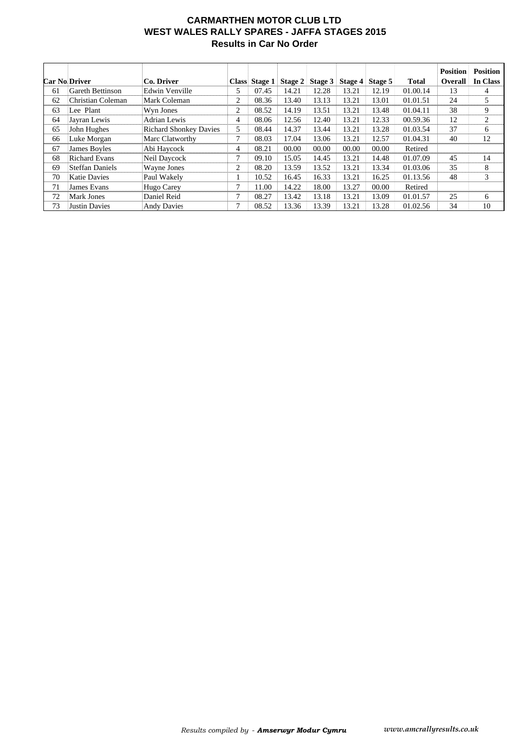#### **CARMARTHEN MOTOR CLUB LTD WEST WALES RALLY SPARES - JAFFA STAGES 2015 Results in Car No Order**

|    | <b>Car No Driver</b>    | Co. Driver                    |   | Class Stage 1 | Stage $2 $ | Stage 3 | Stage 4 | Stage 5 | <b>Total</b> | <b>Position</b><br><b>Overall</b> | <b>Position</b><br>In Class |
|----|-------------------------|-------------------------------|---|---------------|------------|---------|---------|---------|--------------|-----------------------------------|-----------------------------|
| 61 | <b>Gareth Bettinson</b> | Edwin Venville                | 5 | 07.45         | 14.21      | 12.28   | 13.21   | 12.19   | 01.00.14     | 13                                | 4                           |
| 62 | Christian Coleman       | Mark Coleman                  | 2 | 08.36         | 13.40      | 13.13   | 13.21   | 13.01   | 01.01.51     | 24                                | 5                           |
| 63 | Lee Plant               | Wyn Jones                     | 2 | 08.52         | 14.19      | 13.51   | 13.21   | 13.48   | 01.04.11     | 38                                | 9                           |
| 64 | Jayran Lewis            | <b>Adrian Lewis</b>           | 4 | 08.06         | 12.56      | 12.40   | 13.21   | 12.33   | 00.59.36     | 12                                | 2                           |
| 65 | John Hughes             | <b>Richard Shonkey Davies</b> | 5 | 08.44         | 14.37      | 13.44   | 13.21   | 13.28   | 01.03.54     | 37                                | 6                           |
| 66 | Luke Morgan             | Marc Clatworthy               | 7 | 08.03         | 17.04      | 13.06   | 13.21   | 12.57   | 01.04.31     | 40                                | 12                          |
| 67 | James Boyles            | Abi Haycock                   | 4 | 08.21         | 00.00      | 00.00   | 00.00   | 00.00   | Retired      |                                   |                             |
| 68 | <b>Richard Evans</b>    | Neil Daycock                  | π | 09.10         | 15.05      | 14.45   | 13.21   | 14.48   | 01.07.09     | 45                                | 14                          |
| 69 | <b>Steffan Daniels</b>  | Wayne Jones                   | 2 | 08.20         | 13.59      | 13.52   | 13.21   | 13.34   | 01.03.06     | 35                                | 8                           |
| 70 | <b>Katie Davies</b>     | Paul Wakely                   |   | 10.52         | 16.45      | 16.33   | 13.21   | 16.25   | 01.13.56     | 48                                | 3                           |
| 71 | James Evans             | Hugo Carey                    | ┑ | 11.00         | 14.22      | 18.00   | 13.27   | 00.00   | Retired      |                                   |                             |
| 72 | <b>Mark Jones</b>       | Daniel Reid                   | ┑ | 08.27         | 13.42      | 13.18   | 13.21   | 13.09   | 01.01.57     | 25                                | 6                           |
| 73 | <b>Justin Davies</b>    | <b>Andy Davies</b>            | ┑ | 08.52         | 13.36      | 13.39   | 13.21   | 13.28   | 01.02.56     | 34                                | 10                          |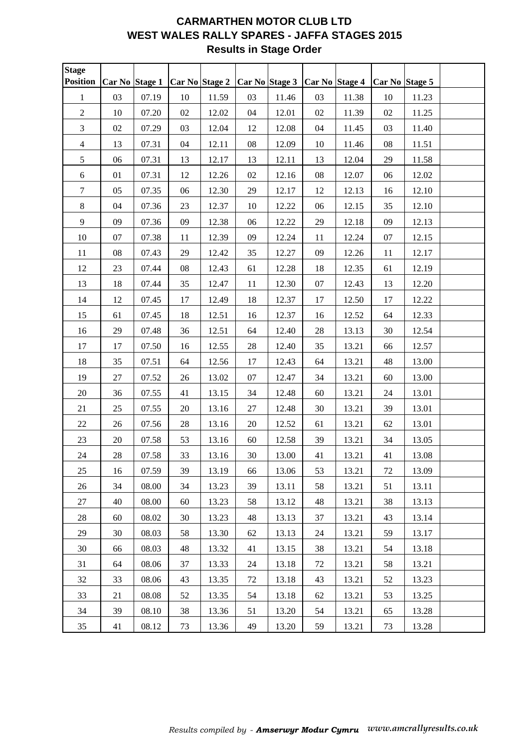# **CARMARTHEN MOTOR CLUB LTD WEST WALES RALLY SPARES - JAFFA STAGES 2015 Results in Stage Order**

| Stage<br><b>Position</b> | Car No Stage 1 |       |            | Car No Stage 2 |            | Car No Stage 3 | Car No Stage 4 |       |            | Car No Stage 5 |  |
|--------------------------|----------------|-------|------------|----------------|------------|----------------|----------------|-------|------------|----------------|--|
| $\mathbf{1}$             | 03             | 07.19 | 10         | 11.59          | 03         | 11.46          | 03             | 11.38 | 10         | 11.23          |  |
| $\sqrt{2}$               | $10\,$         | 07.20 | 02         | 12.02          | 04         | 12.01          | 02             | 11.39 | 02         | 11.25          |  |
| $\mathfrak{Z}$           | 02             | 07.29 | 03         | 12.04          | 12         | 12.08          | 04             | 11.45 | 03         | 11.40          |  |
| $\overline{4}$           | 13             | 07.31 | 04         | 12.11          | ${\bf 08}$ | 12.09          | $10\,$         | 11.46 | ${\bf 08}$ | 11.51          |  |
| $\sqrt{5}$               | 06             | 07.31 | 13         | 12.17          | 13         | 12.11          | 13             | 12.04 | 29         | 11.58          |  |
| $\sqrt{6}$               | 01             | 07.31 | 12         | 12.26          | 02         | 12.16          | 08             | 12.07 | 06         | 12.02          |  |
| $\boldsymbol{7}$         | 05             | 07.35 | 06         | 12.30          | 29         | 12.17          | 12             | 12.13 | 16         | 12.10          |  |
| $\,8\,$                  | 04             | 07.36 | 23         | 12.37          | 10         | 12.22          | 06             | 12.15 | 35         | 12.10          |  |
| 9                        | 09             | 07.36 | 09         | 12.38          | 06         | 12.22          | 29             | 12.18 | 09         | 12.13          |  |
| $10\,$                   | $07\,$         | 07.38 | 11         | 12.39          | 09         | 12.24          | 11             | 12.24 | $07\,$     | 12.15          |  |
| $11\,$                   | ${\bf 08}$     | 07.43 | 29         | 12.42          | 35         | 12.27          | 09             | 12.26 | $11\,$     | 12.17          |  |
| 12                       | 23             | 07.44 | ${\bf 08}$ | 12.43          | 61         | 12.28          | 18             | 12.35 | 61         | 12.19          |  |
| 13                       | 18             | 07.44 | 35         | 12.47          | $11\,$     | 12.30          | 07             | 12.43 | 13         | 12.20          |  |
| 14                       | 12             | 07.45 | 17         | 12.49          | 18         | 12.37          | 17             | 12.50 | 17         | 12.22          |  |
| 15                       | 61             | 07.45 | 18         | 12.51          | 16         | 12.37          | 16             | 12.52 | 64         | 12.33          |  |
| 16                       | 29             | 07.48 | 36         | 12.51          | 64         | 12.40          | $28\,$         | 13.13 | 30         | 12.54          |  |
| 17                       | 17             | 07.50 | 16         | 12.55          | $28\,$     | 12.40          | 35             | 13.21 | 66         | 12.57          |  |
| 18                       | 35             | 07.51 | 64         | 12.56          | 17         | 12.43          | 64             | 13.21 | 48         | 13.00          |  |
| 19                       | 27             | 07.52 | 26         | 13.02          | 07         | 12.47          | 34             | 13.21 | 60         | 13.00          |  |
| 20                       | 36             | 07.55 | 41         | 13.15          | 34         | 12.48          | 60             | 13.21 | 24         | 13.01          |  |
| 21                       | 25             | 07.55 | 20         | 13.16          | 27         | 12.48          | 30             | 13.21 | 39         | 13.01          |  |
| $22\,$                   | 26             | 07.56 | $28\,$     | 13.16          | $20\,$     | 12.52          | 61             | 13.21 | 62         | 13.01          |  |
| 23                       | $20\,$         | 07.58 | 53         | 13.16          | $60\,$     | 12.58          | 39             | 13.21 | 34         | 13.05          |  |
| 24                       | $28\,$         | 07.58 | 33         | 13.16          | $30\,$     | 13.00          | 41             | 13.21 | 41         | 13.08          |  |
| 25                       | 16             | 07.59 | 39         | 13.19          | 66         | 13.06          | 53             | 13.21 | 72         | 13.09          |  |
| 26                       | 34             | 08.00 | 34         | 13.23          | 39         | 13.11          | 58             | 13.21 | 51         | 13.11          |  |
| 27                       | 40             | 08.00 | 60         | 13.23          | 58         | 13.12          | 48             | 13.21 | 38         | 13.13          |  |
| 28                       | 60             | 08.02 | 30         | 13.23          | 48         | 13.13          | 37             | 13.21 | 43         | 13.14          |  |
| 29                       | 30             | 08.03 | 58         | 13.30          | 62         | 13.13          | 24             | 13.21 | 59         | 13.17          |  |
| 30                       | 66             | 08.03 | 48         | 13.32          | 41         | 13.15          | 38             | 13.21 | 54         | 13.18          |  |
| 31                       | 64             | 08.06 | 37         | 13.33          | 24         | 13.18          | 72             | 13.21 | 58         | 13.21          |  |
| 32                       | 33             | 08.06 | 43         | 13.35          | 72         | 13.18          | 43             | 13.21 | 52         | 13.23          |  |
| 33                       | 21             | 08.08 | 52         | 13.35          | 54         | 13.18          | 62             | 13.21 | 53         | 13.25          |  |
| 34                       | 39             | 08.10 | 38         | 13.36          | 51         | 13.20          | 54             | 13.21 | 65         | 13.28          |  |
| 35                       | 41             | 08.12 | 73         | 13.36          | 49         | 13.20          | 59             | 13.21 | 73         | 13.28          |  |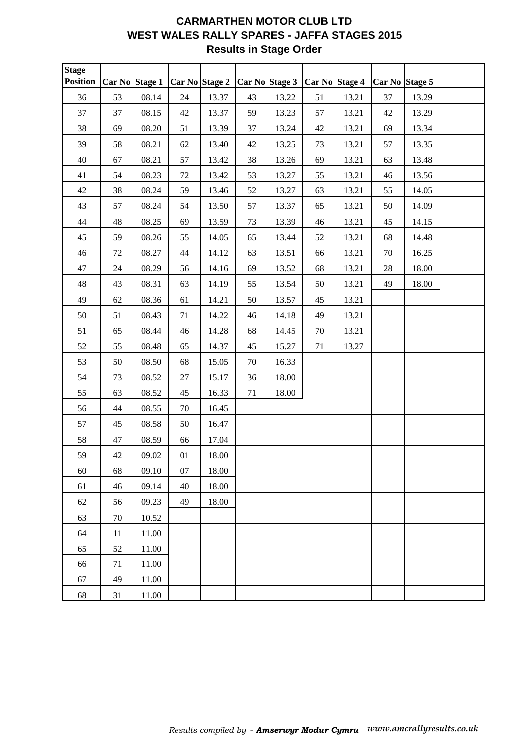# **CARMARTHEN MOTOR CLUB LTD WEST WALES RALLY SPARES - JAFFA STAGES 2015 Results in Stage Order**

| Stage<br><b>Position</b> | Car No Stage 1 |       |        | Car No Stage 2 |    | Car No Stage 3 | Car No Stage 4 |       | Car No Stage 5 |       |  |
|--------------------------|----------------|-------|--------|----------------|----|----------------|----------------|-------|----------------|-------|--|
| 36                       | 53             | 08.14 | 24     | 13.37          | 43 | 13.22          | 51             | 13.21 | 37             | 13.29 |  |
| 37                       | 37             | 08.15 | 42     | 13.37          | 59 | 13.23          | 57             | 13.21 | 42             | 13.29 |  |
| 38                       | 69             | 08.20 | 51     | 13.39          | 37 | 13.24          | 42             | 13.21 | 69             | 13.34 |  |
| 39                       | 58             | 08.21 | $62\,$ | 13.40          | 42 | 13.25          | 73             | 13.21 | 57             | 13.35 |  |
| 40                       | 67             | 08.21 | 57     | 13.42          | 38 | 13.26          | 69             | 13.21 | 63             | 13.48 |  |
| 41                       | 54             | 08.23 | 72     | 13.42          | 53 | 13.27          | 55             | 13.21 | 46             | 13.56 |  |
| 42                       | 38             | 08.24 | 59     | 13.46          | 52 | 13.27          | 63             | 13.21 | 55             | 14.05 |  |
| 43                       | 57             | 08.24 | 54     | 13.50          | 57 | 13.37          | 65             | 13.21 | 50             | 14.09 |  |
| 44                       | 48             | 08.25 | 69     | 13.59          | 73 | 13.39          | 46             | 13.21 | 45             | 14.15 |  |
| 45                       | 59             | 08.26 | 55     | 14.05          | 65 | 13.44          | 52             | 13.21 | 68             | 14.48 |  |
| 46                       | $72\,$         | 08.27 | 44     | 14.12          | 63 | 13.51          | 66             | 13.21 | $70\,$         | 16.25 |  |
| 47                       | 24             | 08.29 | 56     | 14.16          | 69 | 13.52          | 68             | 13.21 | $28\,$         | 18.00 |  |
| 48                       | 43             | 08.31 | 63     | 14.19          | 55 | 13.54          | 50             | 13.21 | 49             | 18.00 |  |
| 49                       | 62             | 08.36 | 61     | 14.21          | 50 | 13.57          | 45             | 13.21 |                |       |  |
| 50                       | 51             | 08.43 | 71     | 14.22          | 46 | 14.18          | 49             | 13.21 |                |       |  |
| 51                       | 65             | 08.44 | 46     | 14.28          | 68 | 14.45          | $70\,$         | 13.21 |                |       |  |
| 52                       | 55             | 08.48 | 65     | 14.37          | 45 | 15.27          | 71             | 13.27 |                |       |  |
| 53                       | 50             | 08.50 | 68     | 15.05          | 70 | 16.33          |                |       |                |       |  |
| 54                       | 73             | 08.52 | 27     | 15.17          | 36 | 18.00          |                |       |                |       |  |
| 55                       | 63             | 08.52 | 45     | 16.33          | 71 | 18.00          |                |       |                |       |  |
| 56                       | 44             | 08.55 | 70     | 16.45          |    |                |                |       |                |       |  |
| 57                       | 45             | 08.58 | 50     | 16.47          |    |                |                |       |                |       |  |
| 58                       | 47             | 08.59 | 66     | 17.04          |    |                |                |       |                |       |  |
| 59                       | 42             | 09.02 | 01     | 18.00          |    |                |                |       |                |       |  |
| 60                       | 68             | 09.10 | 07     | 18.00          |    |                |                |       |                |       |  |
| 61                       | 46             | 09.14 | 40     | 18.00          |    |                |                |       |                |       |  |
| 62                       | 56             | 09.23 | 49     | 18.00          |    |                |                |       |                |       |  |
| 63                       | 70             | 10.52 |        |                |    |                |                |       |                |       |  |
| 64                       | 11             | 11.00 |        |                |    |                |                |       |                |       |  |
| 65                       | 52             | 11.00 |        |                |    |                |                |       |                |       |  |
| 66                       | 71             | 11.00 |        |                |    |                |                |       |                |       |  |
| 67                       | 49             | 11.00 |        |                |    |                |                |       |                |       |  |
| 68                       | 31             | 11.00 |        |                |    |                |                |       |                |       |  |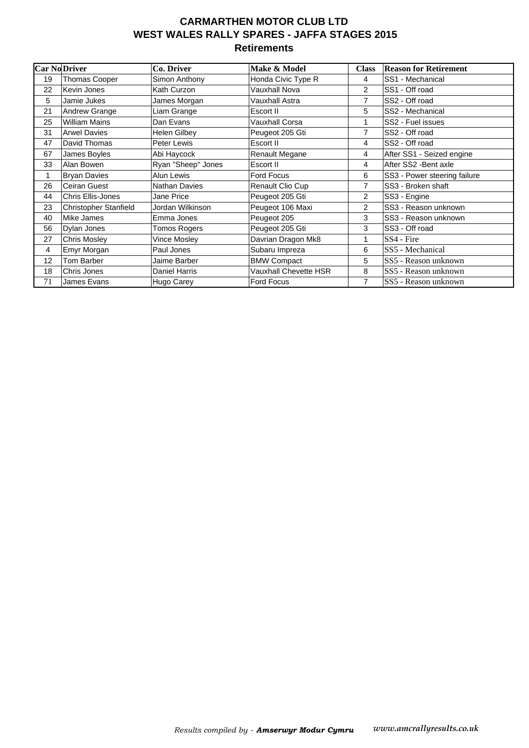### **CARMARTHEN MOTOR CLUB LTD WEST WALES RALLY SPARES - JAFFA STAGES 2015 Retirements**

| <b>Car No Driver</b> |                          | Co. Driver           | Make & Model            | <b>Class</b>   | <b>Reason for Retirement</b> |
|----------------------|--------------------------|----------------------|-------------------------|----------------|------------------------------|
| 19                   | Thomas Cooper            | Simon Anthony        | Honda Civic Type R      | 4              | SS1 - Mechanical             |
| 22                   | Kevin Jones              | Kath Curzon          | <b>Vauxhall Nova</b>    | $\overline{2}$ | SS1 - Off road               |
| 5                    | Jamie Jukes              | James Morgan         | Vauxhall Astra          | 7              | SS2 - Off road               |
| 21                   | Andrew Grange            | Liam Grange          | Escort II               | 5              | SS2 - Mechanical             |
| 25                   | <b>William Mains</b>     | Dan Evans            | Vauxhall Corsa          |                | SS2 - Fuel issues            |
| 31                   | <b>Arwel Davies</b>      | <b>Helen Gilbey</b>  | Peugeot 205 Gti         | 7              | SS2 - Off road               |
| 47                   | David Thomas             | Peter Lewis          | Escort II               | 4              | SS2 - Off road               |
| 67                   | James Boyles             | Abi Haycock          | Renault Megane          | 4              | After SS1 - Seized engine    |
| 33                   | Alan Bowen               | Ryan "Sheep" Jones   | Escort II               | 4              | After SS2 - Bent axle        |
| 1                    | <b>Bryan Davies</b>      | Alun Lewis           | <b>Ford Focus</b>       | 6              | SS3 - Power steering failure |
| 26                   | Ceiran Guest             | <b>Nathan Davies</b> | <b>Renault Clio Cup</b> | 7              | SS3 - Broken shaft           |
| 44                   | <b>Chris Ellis-Jones</b> | Jane Price           | Peugeot 205 Gti         | 2              | SS3 - Engine                 |
| 23                   | Christopher Stanfield    | Jordan Wilkinson     | Peugeot 106 Maxi        | $\overline{2}$ | SS3 - Reason unknown         |
| 40                   | Mike James               | Emma Jones           | Peugeot 205             | 3              | SS3 - Reason unknown         |
| 56                   | Dylan Jones              | <b>Tomos Rogers</b>  | Peugeot 205 Gti         | 3              | SS3 - Off road               |
| 27                   | <b>Chris Mosley</b>      | Vince Mosley         | Davrian Dragon Mk8      |                | SS4 - Fire                   |
| 4                    | Emyr Morgan              | Paul Jones           | Subaru Impreza          | 6              | SS5 - Mechanical             |
| 12                   | Tom Barber               | Jaime Barber         | <b>BMW Compact</b>      | 5              | SS5 - Reason unknown         |
| 18                   | Chris Jones              | Daniel Harris        | Vauxhall Chevette HSR   | 8              | SS5 - Reason unknown         |
| 71                   | James Evans              | Hugo Carey           | <b>Ford Focus</b>       | 7              | SS5 - Reason unknown         |